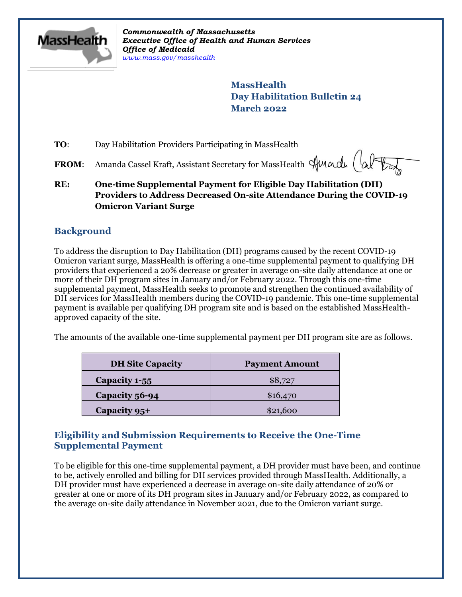

*Commonwealth of Massachusetts Executive Office of Health and Human Services Office of Medicaid [www.mass.gov/masshealth](http://www.mass.gov/masshealth)*

> **MassHealth Day Habilitation Bulletin 24 March 2022**

**TO:** Day Habilitation Providers Participating in MassHealth

FROM: Amanda Cassel Kraft, Assistant Secretary for MassHealth Sunacle (a)

**RE: One-time Supplemental Payment for Eligible Day Habilitation (DH) Providers to Address Decreased On-site Attendance During the COVID-19 Omicron Variant Surge**

## **Background**

To address the disruption to Day Habilitation (DH) programs caused by the recent COVID-19 Omicron variant surge, MassHealth is offering a one-time supplemental payment to qualifying DH providers that experienced a 20% decrease or greater in average on-site daily attendance at one or more of their DH program sites in January and/or February 2022. Through this one-time supplemental payment, MassHealth seeks to promote and strengthen the continued availability of DH services for MassHealth members during the COVID-19 pandemic. This one-time supplemental payment is available per qualifying DH program site and is based on the established MassHealthapproved capacity of the site.

The amounts of the available one-time supplemental payment per DH program site are as follows.

| <b>DH Site Capacity</b> | <b>Payment Amount</b> |
|-------------------------|-----------------------|
| Capacity 1-55           | \$8,727               |
| Capacity 56-94          | \$16,470              |
| Capacity 95+            | \$21,600              |

## **Eligibility and Submission Requirements to Receive the One-Time Supplemental Payment**

To be eligible for this one-time supplemental payment, a DH provider must have been, and continue to be, actively enrolled and billing for DH services provided through MassHealth. Additionally, a DH provider must have experienced a decrease in average on-site daily attendance of 20% or greater at one or more of its DH program sites in January and/or February 2022, as compared to the average on-site daily attendance in November 2021, due to the Omicron variant surge.